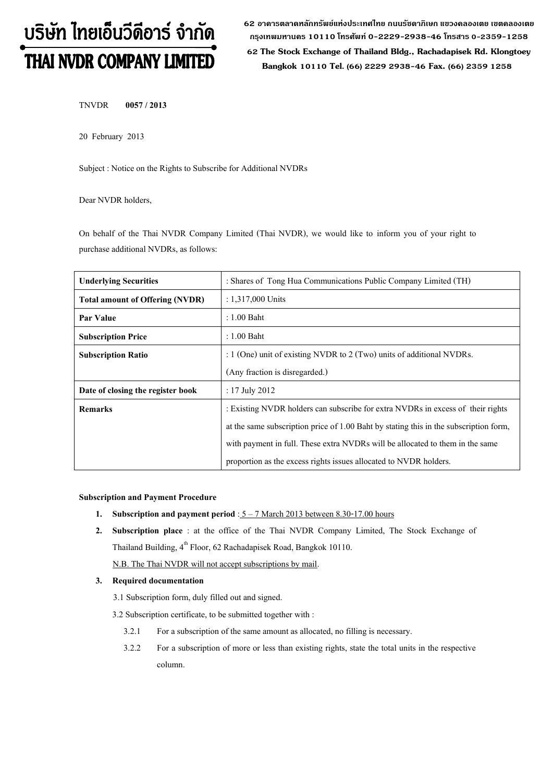# บริษัท ไทยเอ็นวีดีอาร์ จำกัด THAI NVDR COMPANY LIMITED

**62 อาคารตลาดหลักทรัพย์แห่งประเทศไทย ถนนรัชดาภิเษก แขวงคลองเตย เขตคลองเตย กรุงเทพมหานคร 10110 โทรศัพท์0-2229-2938-46 โทรสาร 0-2359-1258**

 **62 The Stock Exchange of Thailand Bldg., Rachadapisek Rd. Klongtoey Bangkok 10110 Tel. (66) 2229 2938-46 Fax. (66) 2359 1258**

TNVDR **0057 / 2013**

20 February 2013

Subject : Notice on the Rights to Subscribe for Additional NVDRs

Dear NVDR holders,

On behalf of the Thai NVDR Company Limited (Thai NVDR), we would like to inform you of your right to purchase additional NVDRs, as follows:

| <b>Underlying Securities</b>           | : Shares of Tong Hua Communications Public Company Limited (TH)                       |
|----------------------------------------|---------------------------------------------------------------------------------------|
| <b>Total amount of Offering (NVDR)</b> | $: 1.317,000$ Units                                                                   |
| Par Value                              | $: 1.00$ Baht                                                                         |
| <b>Subscription Price</b>              | $: 1.00$ Baht                                                                         |
| <b>Subscription Ratio</b>              | : $1$ (One) unit of existing NVDR to $2$ (Two) units of additional NVDRs.             |
|                                        | (Any fraction is disregarded.)                                                        |
| Date of closing the register book      | : $17$ July $2012$                                                                    |
| <b>Remarks</b>                         | : Existing NVDR holders can subscribe for extra NVDRs in excess of their rights       |
|                                        | at the same subscription price of 1.00 Baht by stating this in the subscription form, |
|                                        | with payment in full. These extra NVDRs will be allocated to them in the same         |
|                                        | proportion as the excess rights issues allocated to NVDR holders.                     |

## **Subscription and Payment Procedure**

- **1.** Subscription and payment period :  $5 7$  March 2013 between 8.30-17.00 hours
- **2. Subscription place** : at the office of the Thai NVDR Company Limited, The Stock Exchange of Thailand Building,  $4^{\text{th}}$  Floor, 62 Rachadapisek Road, Bangkok 10110.

N.B. The Thai NVDR will not accept subscriptions by mail.

## **3. Required documentation**

- 3.1 Subscription form, duly filled out and signed.
- 3.2 Subscription certificate, to be submitted together with :
	- 3.2.1 For a subscription of the same amount as allocated, no filling is necessary.
	- 3.2.2 For a subscription of more or less than existing rights, state the total units in the respective column.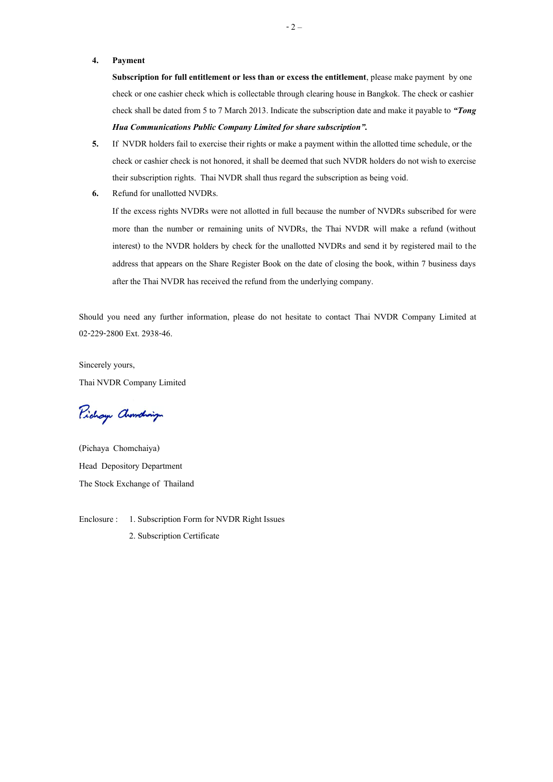## **4. Payment**

**Subscription for full entitlement or less than or excess the entitlement**, please make payment by one check or one cashier check which is collectable through clearing house in Bangkok. The check or cashier check shall be dated from 5 to 7 March 2013. Indicate the subscription date and make it payable to *"Tong Hua Communications Public Company Limited for share subscription".*

- **5.** If NVDR holders fail to exercise their rights or make a payment within the allotted time schedule, or the check or cashier check is not honored, it shall be deemed that such NVDR holders do not wish to exercise their subscription rights. Thai NVDR shall thus regard the subscription as being void.
- **6.** Refund for unallotted NVDRs.

If the excess rights NVDRs were not allotted in full because the number of NVDRs subscribed for were more than the number or remaining units of NVDRs, the Thai NVDR will make a refund (without interest) to the NVDR holders by check for the unallotted NVDRs and send it by registered mail to the address that appears on the Share Register Book on the date of closing the book, within 7 business days after the Thai NVDR has received the refund from the underlying company.

Should you need any further information, please do not hesitate to contact Thai NVDR Company Limited at 02-229-2800 Ext. 2938-46.

Sincerely yours, Thai NVDR Company Limited

Pichay Chanding

(Pichaya Chomchaiya) Head Depository Department The Stock Exchange of Thailand

Enclosure : 1. Subscription Form for NVDR Right Issues 2. Subscription Certificate